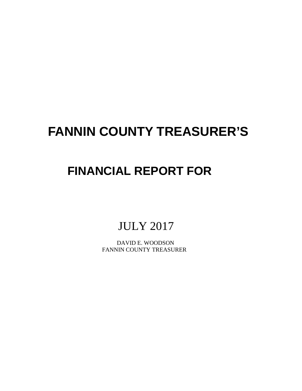# **FANNIN COUNTY TREASURER'S**

## **FINANCIAL REPORT FOR**

## JULY 2017

 DAVID E. WOODSON FANNIN COUNTY TREASURER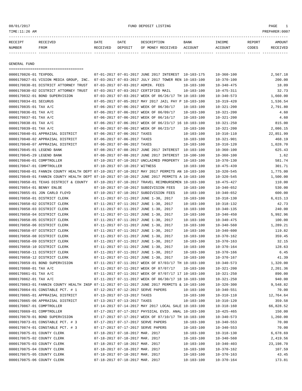08/01/2017 FUND DEPOSIT LISTING PAGE 1

| RECEIPT       | <b>RECEIVED</b> | DATE     | DATE    | DESCRIPTION          | <b>BANK</b> | <b>TNCOME</b> | <b>REPORT</b> | <b>AMOUNT</b> |
|---------------|-----------------|----------|---------|----------------------|-------------|---------------|---------------|---------------|
| <b>NUMBER</b> | <b>FROM</b>     | RECEIVED | DEPOSIT | RECEIVED<br>OF MONEY | ACCOUNT     | ACCOUNT       | CODES         | [VED          |
|               |                 |          |         |                      |             |               |               |               |

GENERAL FUND

=================================== 0000170826-01 TEXPOOL 07-01-2017 07-01-2017 JUNE 2017 INTEREST 10-103-175 10-360-100 2,567.18 0000170827-01 VISION MEDIA GROUP, INC. 07-03-2017 07-03-2017 JULY 2017 TOWER REN 10-103-100 10-370-100 200.00 0000170830-01 DISTRICT ATTORNEY TRUST 07-03-2017 07-03-2017 ADMIN. FEES 10-103-100 10-340-475 18.09 0000170830-02 DISTRICT ATTORNEY TRUST 07-03-2017 07-03-2017 CERTIFIED MAIL 10-103-100 10-475-311 32.73 0000170832-01 BOND SUPERVISION 07-03-2017 07-03-2017 WEEK OF 06/26/17 TH 10-103-100 10-340-573 1,660.00 0000170834-01 SECURUS 07-05-2017 07-05-2017 MAY 2017 JAIL PAY P 10-103-100 10-319-420 1,536.54 0000170835-01 TAX A/C 07-06-2017 07-06-2017 WEEK OF 06/30/17 10-103-100 10-321-200 2,791.80 0000170836-01 TAX A/C 07-06-2017 07-06-2017 WEEK OF 06/09/17 10-103-100 10-321-200 4.60 0000170837-01 TAX A/C 07-06-2017 07-06-2017 WEEK OF 06/16/17 10-103-100 10-321-200 4.60 0000170838-01 TAX A/C 07-06-2017 07-06-2017 WEEK OF 06/23/17 16 10-103-100 10-321-250 815.00 0000170839-01 TAX A/C 07-06-2017 07-06-2017 WEEK OF 06/23/17 10-103-100 10-321-200 2,086.15 0000170840-01 APPRAISAL DISTRICT 07-06-2017 07-06-2017 TAXES 10-103-100 10-310-110 22,851.99 0000170840-02 APPRAISAL DISTRICT 07-06-2017 07-06-2017 TAXES 10-103-100 10-321-901 468.19 0000170840-07 APPRAISAL DISTRICT 07-06-2017 07-06-2017 TAXES 10-103-100 10-310-120 1,028.70 0000170845-01 LEGEND BANK 625.43 67-08-2017 07-08-2017 JUNE 2017 INTEREST 10-103-100 10-360-100 625.43 0000170845-29 LEGEND BANK 07-08-2017 07-08-2017 JUNE 2017 INTEREST 10-100-100 10-360-100 1.62 0000170846-01 COMPTROLLER 07-10-2017 07-10-2017 UNCLAIMED PROPERTY 10-103-100 10-370-130 581.74 0000170847-01 COMPTROLLER 07-10-2017 07-10-2017 WITNESS 10-103-100 10-475-439 301.71 0000170848-01 FANNIN COUNTY HEALTH DEPT 07-10-2017 07-10-2017 MAY 2017 PERMITS AN 10-103-100 10-320-545 1,775.00 0000170849-01 FANNIN COUNTY HEALTH DEPT 07-10-2017 07-10-2017 JUNE 2017 PERMITS A 10-103-100 10-320-545 1,500.00 0000170850-01 TEXAS DISTRICT & COUNTY 07-10-2017 07-10-2017 TRAVEL REIMBURSEMEN 10-103-100 10-475-427 110.00 0000170854-01 BENNY ENLOE 07-10-2017 07-10-2017 SUBDIVISION FEES 10-103-100 10-340-652 530.00 0000170855-01 JON CARLO FLOYD 07-10-2017 07-10-2017 SUBDIVISION FEES 10-103-100 10-340-652 600.00 0000170858-01 DISTRICT CLERK 07-11-2017 07-11-2017 JUNE 1-30, 2017 10-103-100 10-318-130 6,615.13 0000170858-02 DISTRICT CLERK 07-11-2017 07-11-2017 JUNE 1-30, 2017 10-103-100 10-318-132 42.73 0000170858-03 DISTRICT CLERK 07-11-2017 07-11-2017 JUNE 1-30, 2017 10-103-100 10-340-135 240.00 0000170858-04 DISTRICT CLERK 07-11-2017 07-11-2017 JUNE 1-30, 2017 10-103-100 10-340-450 5,992.96 0000170858-05 DISTRICT CLERK 07-11-2017 07-11-2017 JUNE 1-30, 2017 10-103-100 10-340-475 100.00 0000170858-06 DISTRICT CLERK 07-11-2017 07-11-2017 JUNE 1-30, 2017 10-103-100 10-340-560 1,289.21 0000170858-07 DISTRICT CLERK 07-11-2017 07-11-2017 JUNE 1-30, 2017 10-103-100 10-340-600 10-340-600 0000170858-08 DISTRICT CLERK 07-11-2017 07-11-2017 JUNE 1-30, 2017 10-103-100 10-370-162 359.45 0000170858-09 DISTRICT CLERK 07-11-2017 07-11-2017 JUNE 1-30, 2017 10-103-100 10-370-163 32.15 0000170858-10 DISTRICT CLERK 07-11-2017 07-11-2017 JUNE 1-30, 2017 10-103-100 10-370-164 128.63 0000170858-11 DISTRICT CLERK 07-11-2017 07-11-2017 JUNE 1-30, 2017 10-103-100 10-370-166 6.45 0000170858-12 DISTRICT CLERK 07-11-2017 07-11-2017 JUNE 1-30, 2017 10-103-100 10-370-167 41.39 0000170859-01 BOND SUPERVISION 07-11-2017 07-11-2017 WEEK OF 07/03/17 TH 10-103-100 10-340-573 1,320.00 0000170860-01 TAX A/C 07-11-2017 07-11-2017 WEEK OF 07/07/17 10-103-100 10-321-200 2,201.36 0000170861-01 TAX A/C 07-11-2017 07-11-2017 WEEK OF 07/07/17 17 10-103-100 10-321-250 890.00 0000170862-01 TAX A/C 07-11-2017 07-11-2017 WEEK OF 06/30/17 18 10-103-100 10-321-250 940.00 0000170863-01 FANNIN COUNTY HEALTH INSP 07-11-2017 07-11-2017 JUNE 2017 PERMITS & 10-103-100 10-320-300 9,548.82 0000170864-01 CONSTABLE PCT. # 1 07-12-2017 07-12-2017 SERVE PAPERS 10-103-100 10-340-551 70.00 0000170865-01 APPRAISAL DISTRICT  $07-13-2017$  07-13-2017 TAXES  $10-103-100$   $10-310-110$   $12,764.64$ 0000170865-06 APPRAISAL DISTRICT 07-13-2017 07-13-2017 TAXES 10-103-100 10-310-120 359.58 0000170867-01 COMPTROLLER 07-14-2017 07-14-2017 MAY 2017 LOCAL SALE 10-103-100 10-318-160 66,828.52 0000170869-01 COMPTROLLER 07-17-2017 07-17-2017 PHYSICAL EVID. ANAL 10-103-100 10-425-465 150.00 0000170870-01 BOND SUPERVISION 07-17-2017 07-17-2017 WEEK OF 07/10/17 TH 10-103-100 10-340-573 1,260.00 0000170873-01 CONSTABLE PCT. # 3 07-17-2017 07-17-2017 SERVE PAPERS 10-103-100 10-340-553 70.00 0000170874-01 CONSTABLE PCT. # 3 07-17-2017 07-17-2017 SERVE PAPERS 10-103-100 10-340-553 70.00 0000170875-01 COUNTY CLERK 07-18-2017 07-18-2017 MAR. 2017 10-103-100 10-318-130 6,678.69 0000170875-02 COUNTY CLERK 07-18-2017 07-18-2017 MAR. 2017 10-103-100 10-340-560 2,419.56 0000170875-03 COUNTY CLERK 07-18-2017 07-18-2017 MAR. 2017 10-103-100 10-340-403 23,198.70 0000170875-04 COUNTY CLERK 07-18-2017 07-18-2017 MAR. 2017 10-103-100 10-370-162 107.59 0000170875-05 COUNTY CLERK 07-18-2017 07-18-2017 MAR. 2017 10-103-100 10-370-163 43.45 0000170875-06 COUNTY CLERK 07-18-2017 07-18-2017 MAR. 2017 10-103-100 10-370-164 173.81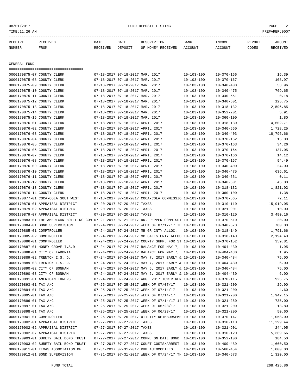## 08/01/2017 FUND DEPOSIT LISTING PAGE 2

| RECEIPT | RECEIVED | DATE | DATE | DESCRIPTION                                | BANK | INCOME  | REPORT | AMOUNT   |
|---------|----------|------|------|--------------------------------------------|------|---------|--------|----------|
| NUMBER  | FROM     |      |      | RECEIVED DEPOSIT OF MONEY RECEIVED ACCOUNT |      | ACCOUNT | CODES  | RECEIVED |
|         |          |      |      |                                            |      |         |        |          |
|         |          |      |      |                                            |      |         |        |          |

GENERAL FUND

===================================

| 0000170875-07 COUNTY CLERK |                                                                                              | 07-18-2017 07-18-2017 MAR. 2017  |                                                      | $10 - 103 - 100$ | $10 - 370 - 166$ | 16.39     |
|----------------------------|----------------------------------------------------------------------------------------------|----------------------------------|------------------------------------------------------|------------------|------------------|-----------|
| 0000170875-08 COUNTY CLERK |                                                                                              | 07-18-2017 07-18-2017 MAR. 2017  |                                                      | $10 - 103 - 100$ | $10 - 370 - 167$ | 108.97    |
| 0000170875-09 COUNTY CLERK |                                                                                              | 07-18-2017 07-18-2017 MAR. 2017  |                                                      | $10 - 103 - 100$ | $10 - 340 - 400$ | 53.96     |
| 0000170875-10 COUNTY CLERK |                                                                                              | 07-18-2017 07-18-2017 MAR. 2017  |                                                      | $10 - 103 - 100$ | $10 - 340 - 475$ | 769.65    |
| 0000170875-11 COUNTY CLERK |                                                                                              | 07-18-2017 07-18-2017 MAR. 2017  |                                                      | $10 - 103 - 100$ | $10 - 340 - 551$ | 0.18      |
| 0000170875-12 COUNTY CLERK |                                                                                              | 07-18-2017 07-18-2017 MAR. 2017  |                                                      | $10 - 103 - 100$ | $10 - 340 - 601$ | 125.75    |
| 0000170875-13 COUNTY CLERK |                                                                                              | 07-18-2017 07-18-2017 MAR. 2017  |                                                      | $10 - 103 - 100$ | $10 - 318 - 132$ | 2,596.85  |
| 0000170875-14 COUNTY CLERK |                                                                                              | 07-18-2017 07-18-2017 MAR. 2017  |                                                      | $10 - 103 - 100$ | $10 - 352 - 201$ | 5.91      |
| 0000170875-15 COUNTY CLERK |                                                                                              | 07-18-2017 07-18-2017 MAR. 2017  |                                                      | $10 - 103 - 100$ | $10 - 360 - 100$ | 1.80      |
| 0000170876-01 COUNTY CLERK |                                                                                              | 07-18-2017 07-18-2017 APRIL 2017 |                                                      | $10 - 103 - 100$ | $10 - 318 - 130$ | 4,602.71  |
| 0000170876-02 COUNTY CLERK |                                                                                              | 07-18-2017 07-18-2017 APRIL 2017 |                                                      | $10 - 103 - 100$ | $10 - 340 - 560$ | 1,728.25  |
| 0000170876-03 COUNTY CLERK |                                                                                              | 07-18-2017 07-18-2017 APRIL 2017 |                                                      | $10 - 103 - 100$ | $10 - 340 - 403$ | 18,796.66 |
| 0000170876-04 COUNTY CLERK |                                                                                              | 07-18-2017 07-18-2017 APRIL 2017 |                                                      | $10 - 103 - 100$ | $10 - 370 - 162$ | 15.00     |
| 0000170876-05 COUNTY CLERK |                                                                                              | 07-18-2017 07-18-2017 APRIL 2017 |                                                      | $10 - 103 - 100$ | $10 - 370 - 163$ | 34.26     |
| 0000170876-06 COUNTY CLERK |                                                                                              | 07-18-2017 07-18-2017 APRIL 2017 |                                                      | $10 - 103 - 100$ | $10 - 370 - 164$ | 137.05    |
| 0000170876-07 COUNTY CLERK |                                                                                              | 07-18-2017 07-18-2017 APRIL 2017 |                                                      | $10 - 103 - 100$ | $10 - 370 - 166$ | 14.12     |
| 0000170876-08 COUNTY CLERK |                                                                                              | 07-18-2017 07-18-2017 APRIL 2017 |                                                      | $10 - 103 - 100$ | $10 - 370 - 167$ | 94.49     |
| 0000170876-09 COUNTY CLERK |                                                                                              | 07-18-2017 07-18-2017 APRIL 2017 |                                                      | $10 - 103 - 100$ | $10 - 340 - 400$ | 24.00     |
| 0000170876-10 COUNTY CLERK |                                                                                              | 07-18-2017 07-18-2017 APRIL 2017 |                                                      | $10 - 103 - 100$ | $10 - 340 - 475$ | 636.61    |
| 0000170876-11 COUNTY CLERK |                                                                                              | 07-18-2017 07-18-2017 APRIL 2017 |                                                      | $10 - 103 - 100$ | $10 - 340 - 551$ | 0.11      |
| 0000170876-12 COUNTY CLERK |                                                                                              | 07-18-2017 07-18-2017 APRIL 2017 |                                                      | $10 - 103 - 100$ | $10 - 340 - 601$ | 45.00     |
| 0000170876-13 COUNTY CLERK |                                                                                              | 07-18-2017 07-18-2017 APRIL 2017 |                                                      | $10 - 103 - 100$ | $10 - 318 - 132$ | 1,821.02  |
| 0000170876-14 COUNTY CLERK |                                                                                              | 07-18-2017 07-18-2017 APRIL 2017 |                                                      | $10 - 103 - 100$ | $10 - 360 - 100$ | 1.38      |
|                            | 0000170877-01 COCA-COLA SOUTHWEST                                                            |                                  | 07-18-2017 07-18-2017 COCA-COLA COMMISSIO 10-103-100 |                  | $10 - 370 - 565$ | 72.11     |
|                            | 0000170879-01 APPRAISAL DISTRICT                                                             | 07-20-2017 07-20-2017 TAXES      |                                                      | $10 - 103 - 100$ | $10 - 310 - 110$ | 15,919.05 |
|                            | 0000170879-02 APPRAISAL DISTRICT                                                             | 07-20-2017 07-20-2017 TAXES      |                                                      | $10 - 103 - 100$ | $10 - 321 - 901$ | 10.00     |
|                            | 0000170879-07 APPRAISAL DISTRICT                                                             | 07-20-2017 07-20-2017 TAXES      |                                                      | $10 - 103 - 100$ | $10 - 310 - 120$ | 3,490.16  |
|                            | 0000170883-01 THE AMERICAN BOTTLING COM 07-21-2017 07-21-2017 DR. PEPPER COMMISSI 10-103-100 |                                  |                                                      |                  | $10 - 370 - 510$ | 20.00     |
|                            | 0000170884-01 BOND SUPERVISION                                                               |                                  | 07-24-2017 07-24-2017 WEEK OF 07/17/17 TH 10-103-100 |                  | $10 - 340 - 573$ | 780.00    |
| 0000170885-01 COMPTROLLER  |                                                                                              |                                  | 07-24-2017 07-24-2017 MB GR CNTY ALLOC.              | 10-103-100       | $10 - 318 - 140$ | 1,791.66  |
| 0000170885-02 COMPTROLLER  |                                                                                              |                                  | 07-24-2017 07-24-2017 MB SALES CNTY ALLOC 10-103-100 |                  | $10 - 318 - 140$ | 2,194.40  |
| 0000170886-01 COMPTROLLER  |                                                                                              |                                  | 07-24-2017 07-24-2017 COUNTY SUPP. FOR ST 10-103-100 |                  | $10 - 370 - 152$ | 359.81    |
|                            | 0000170887-01 HONEY GROVE I.S.D.                                                             |                                  | 07-24-2017 07-24-2017 BALANCE FOR MAY 7, 10-103-100  |                  | $10 - 404 - 430$ | 1.95      |
|                            | 0000170888-01 CITY OF LADONIA                                                                |                                  | 07-24-2017 07-24-2017 BALANCE FOR MAY 7, 10-103-100  |                  | $10 - 404 - 430$ | 1.95      |
|                            | 0000170889-02 TRENTON I.S. D.                                                                |                                  | 07-24-2017 07-24-2017 MAY 7, 2017 EARLY & 10-103-100 |                  | $10 - 340 - 484$ | 75.00     |
|                            | 0000170889-03 TRENTON I.S. D.                                                                |                                  | 07-24-2017 07-24-2017 MAY 7, 2017 EARLY & 10-103-100 |                  | $10 - 404 - 430$ | 6.00      |
|                            | 0000170890-02 CITY OF BONHAM                                                                 |                                  | 07-24-2017 07-24-2017 MAY 6, 2017 EARLY & 10-103-100 |                  | $10 - 340 - 484$ | 75.00     |
|                            | 0000170890-03 CITY OF BONHAM                                                                 |                                  | 07-24-2017 07-24-2017 MAY 6, 2017 EARLY & 10-103-100 |                  | $10 - 404 - 430$ | 6.00      |
|                            | 0000170891-01 AMERICAN TOWERS                                                                |                                  | 07-24-2017 07-24-2017 AUG. 2017 TOWER REN 10-103-100 |                  | $10 - 370 - 115$ | 925.75    |
| 0000170893-01 TAX A/C      |                                                                                              |                                  | 07-25-2017 07-25-2017 WEEK OF 07/07/17               | 10-103-100       | $10 - 321 - 200$ | 29.90     |
| 0000170894-01 TAX A/C      |                                                                                              |                                  | 07-25-2017 07-25-2017 WEEK OF 07/14/17               | $10 - 103 - 100$ | $10 - 321 - 200$ | 4.60      |
| 0000170895-01 TAX A/C      |                                                                                              |                                  | 07-25-2017 07-25-2017 WEEK OF 07/14/17               | 10-103-100       | $10 - 321 - 200$ | 1,942.15  |
| 0000170896-01 TAX A/C      |                                                                                              |                                  | 07-25-2017 07-25-2017 WEEK OF 07/14/17 14 10-103-100 |                  | $10 - 321 - 250$ | 735.00    |
| 0000170897-01 TAX A/C      |                                                                                              |                                  | 07-25-2017 07-25-2017 WEEK OF 06/23/17               | $10 - 103 - 100$ | $10 - 321 - 200$ | 13.80     |
| 0000170898-01 TAX A/C      |                                                                                              |                                  | 07-25-2017 07-25-2017 WEEK OF 06/23/17               | $10 - 103 - 100$ | $10 - 321 - 200$ | 50.60     |
| 0000170901-01 COMPTROLLER  |                                                                                              |                                  | 07-26-2017 07-26-2017 UTILITY REIMBURSEME 10-103-100 |                  | $10 - 370 - 147$ | 1,058.09  |
|                            | 0000170902-01 APPRAISAL DISTRICT                                                             | 07-27-2017 07-27-2017 TAXES      |                                                      | $10 - 103 - 100$ | $10 - 310 - 110$ | 11,299.44 |
|                            | 0000170902-02 APPRAISAL DISTRICT                                                             | 07-27-2017 07-27-2017 TAXES      |                                                      | $10 - 103 - 100$ | $10 - 321 - 901$ | 244.95    |
|                            | 0000170902-07 APPRAISAL DISTRICT                                                             | 07-27-2017 07-27-2017 TAXES      |                                                      | $10 - 103 - 100$ | $10 - 310 - 120$ | 5,369.66  |
|                            | 0000170903-01 SURETY BAIL BOND TRUST                                                         |                                  | 07-27-2017 07-27-2017 COMM. ON BAIL BOND 10-103-100  |                  | $10 - 352 - 100$ | 184.50    |
|                            | 0000170903-02 SURETY BAIL BOND TRUST                                                         |                                  | 07-27-2017 07-27-2017 COURT COSTS/ARREST 10-103-100  |                  | $10 - 409 - 489$ | 1,660.50  |
|                            | 0000170911-01 TEXAS ASSOCIATION OF                                                           |                                  | 07-31-2017 07-31-2017 R&M AUTOMOBILES                | $10 - 103 - 100$ | $10 - 560 - 454$ | 1,000.00  |
|                            | 0000170912-01 BOND SUPERVISION                                                               |                                  | 07-31-2017 07-31-2017 WEEK OF 07/24/17 TH 10-103-100 |                  | $10 - 340 - 573$ | 1,320.00  |
|                            |                                                                                              |                                  |                                                      |                  |                  |           |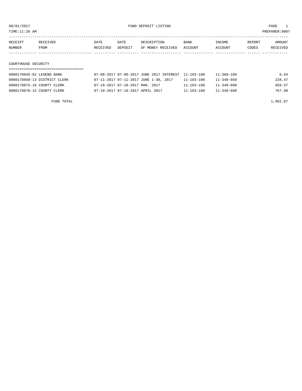TIME:11:26 AM PREPARER:0007

| RECEIPT | <b>RECEIVED</b> | DATE     | DATE    | DESCRIPTION       | <b>BANK</b> | INCOME  | REPORT | AMOUNT          |
|---------|-----------------|----------|---------|-------------------|-------------|---------|--------|-----------------|
| NUMBER  | FROM            | RECEIVED | DEPOSIT | OF MONEY RECEIVED | ACCOUNT     | ACCOUNT | CODES  | <b>RECEIVED</b> |
|         |                 |          |         |                   |             |         |        |                 |

## COURTHOUSE SECURITY

| 0000170845-02 LEGEND BANK    | 07-08-2017 07-08-2017 JUNE 2017 INTEREST 11-103-100 |                  | 11-360-100       | 6.64   |
|------------------------------|-----------------------------------------------------|------------------|------------------|--------|
| 0000170858-13 DISTRICT CLERK | 07-11-2017 07-11-2017 JUNE 1-30, 2017               | $11 - 103 - 100$ | $11 - 340 - 650$ | 228.47 |
| 0000170875-16 COUNTY CLERK   | 07-18-2017 07-18-2017 MAR. 2017                     | $11 - 103 - 100$ | $11 - 340 - 600$ | 959.57 |
| 0000170876-15 COUNTY CLERK   | 07-18-2017 07-18-2017 APRIL 2017                    | $11 - 103 - 100$ | $11 - 340 - 600$ | 767.99 |

FUND TOTAL  $1,962.67$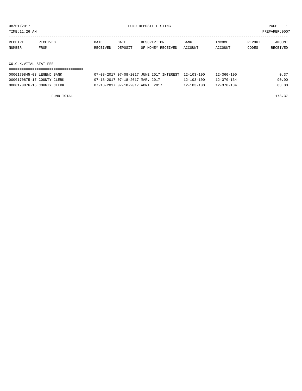TIME:11:26 AM PREPARER:0007

| RECEIPT               | RECEIVED | DATE     | DATE    | DESCRIPTION       | <b>BANK</b> | INCOME  | REPORT | AMOUNT   |  |  |
|-----------------------|----------|----------|---------|-------------------|-------------|---------|--------|----------|--|--|
| NUMBER                | FROM     | RECEIVED | DEPOSIT | OF MONEY RECEIVED | ACCOUNT     | ACCOUNT | CODES  | RECEIVED |  |  |
|                       |          |          |         |                   |             |         |        |          |  |  |
|                       |          |          |         |                   |             |         |        |          |  |  |
| CO.CLK.VITAL STAT.FEE |          |          |         |                   |             |         |        |          |  |  |
|                       |          |          |         |                   |             |         |        |          |  |  |

| 0000170845-03 LEGEND BANK  | 07-08-2017 07-08-2017 JUNE 2017 INTEREST 12-103-100 |                  | $12 - 360 - 100$ | 0.37  |
|----------------------------|-----------------------------------------------------|------------------|------------------|-------|
| 0000170875-17 COUNTY CLERK | 07-18-2017 07-18-2017 MAR. 2017                     | $12 - 103 - 100$ | $12 - 370 - 134$ | 90.00 |
| 0000170876-16 COUNTY CLERK | 07-18-2017 07-18-2017 APRIL 2017                    | 12-103-100       | 12-370-134       | 83.00 |

FUND TOTAL 173.37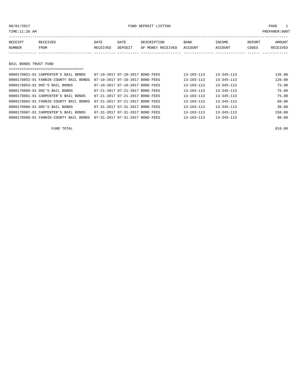## 08/01/2017 FUND DEPOSIT LISTING PAGE 1

| RECEIPT               | RECEIVED | DATE     | DATE    | DESCRIPTION       | <b>BANK</b> | INCOME  | REPORT | <b>AMOUNT</b>   |  |  |
|-----------------------|----------|----------|---------|-------------------|-------------|---------|--------|-----------------|--|--|
| NUMBER                | FROM     | RECEIVED | DEPOSIT | OF MONEY RECEIVED | ACCOUNT     | ACCOUNT | CODES  | <b>RECEIVED</b> |  |  |
|                       |          |          |         |                   |             |         |        |                 |  |  |
|                       |          |          |         |                   |             |         |        |                 |  |  |
| BAIL BONDS TRUST FUND |          |          |         |                   |             |         |        |                 |  |  |
|                       |          |          |         |                   |             |         |        |                 |  |  |

| 0000170851-01 CARPENTER'S BAIL BONDS   | 07-10-2017 07-10-2017 BOND FEES                | $13 - 103 - 113$ | $13 - 345 - 113$ | 135.00 |
|----------------------------------------|------------------------------------------------|------------------|------------------|--------|
| 0000170852-01 FANNIN COUNTY BAIL BONDS | 07-10-2017 07-10-2017 BOND FEES                | $13 - 103 - 113$ | $13 - 345 - 113$ | 120.00 |
| 0000170853-01 DOC'S BAIL BONDS         | 07-10-2017 07-10-2017 BOND FEES                | $13 - 103 - 113$ | $13 - 345 - 113$ | 75.00  |
| 0000170880-01 DOC'S BAIL BONDS         | 07-21-2017 07-21-2017 BOND FEES                | $13 - 103 - 113$ | $13 - 345 - 113$ | 75.00  |
| 0000170881-01 CARPENTER'S BAIL BONDS   | 07-21-2017 07-21-2017 BOND FEES                | $13 - 103 - 113$ | $13 - 345 - 113$ | 75.00  |
| 0000170882-01 FANNIN COUNTY BAIL BONDS | 07-21-2017 07-21-2017 BOND FEES                | $13 - 103 - 113$ | $13 - 345 - 113$ | 60.00  |
| 0000170906-01 DOC'S BAIL BONDS         | 07-31-2017 07-31-2017 BOND FEES                | $13 - 103 - 113$ | $13 - 345 - 113$ | 30.00  |
| 0000170907-01 CARPENTER'S BAIL BONDS   | 07-31-2017 07-31-2017 BOND FEES                | $13 - 103 - 113$ | $13 - 345 - 113$ | 150.00 |
| 0000170908-01 FANNIN COUNTY BAIL BONDS | $07 - 31 - 2017$ $07 - 31 - 2017$<br>BOND FEES | $13 - 103 - 113$ | $13 - 345 - 113$ | 90.00  |

FUND TOTAL 810.00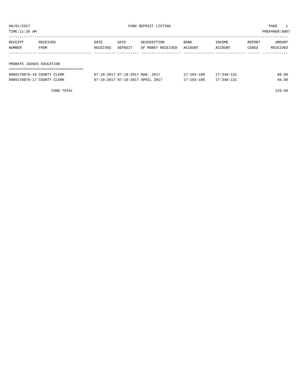| TIME:11:26 AM            |                            |          |                                 |                   |            |            |        | PREPARER:0007 |
|--------------------------|----------------------------|----------|---------------------------------|-------------------|------------|------------|--------|---------------|
|                          |                            |          |                                 |                   |            |            |        |               |
| RECEIPT                  | RECEIVED                   | DATE     | DATE                            | DESCRIPTION       | BANK       | INCOME     | REPORT | AMOUNT        |
| NUMBER                   | FROM                       | RECEIVED | DEPOSIT                         | OF MONEY RECEIVED | ACCOUNT    | ACCOUNT    | CODES  | RECEIVED      |
|                          |                            |          |                                 |                   |            |            |        |               |
|                          |                            |          |                                 |                   |            |            |        |               |
| PROBATE JUDGES EDUCATION |                            |          |                                 |                   |            |            |        |               |
|                          |                            |          |                                 |                   |            |            |        |               |
|                          | 0000170875-18 COUNTY CLERK |          | 07-18-2017 07-18-2017 MAR. 2017 |                   | 17-103-100 | 17-340-131 |        | 89.89         |

0000170876-17 COUNTY CLERK 07-18-2017 07-18-2017 APRIL 2017 17-103-100 17-340-131 40.00

FUND TOTAL 129.89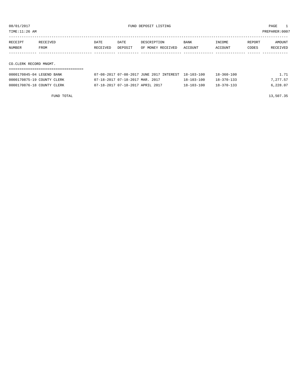TIME:11:26 AM PREPARER:0007

| RECEIPT | RECEIVED               | DATE     | DATE    | DESCRIPTION       | BANK    | INCOME  | REPORT | AMOUNT   |  |
|---------|------------------------|----------|---------|-------------------|---------|---------|--------|----------|--|
| NUMBER  | FROM                   | RECEIVED | DEPOSIT | OF MONEY RECEIVED | ACCOUNT | ACCOUNT | CODES  | RECEIVED |  |
|         |                        |          |         |                   |         |         |        |          |  |
|         |                        |          |         |                   |         |         |        |          |  |
|         | CO.CLERK RECORD MNGMT. |          |         |                   |         |         |        |          |  |

| 0000170845-04 LEGEND BANK  | 07-08-2017 07-08-2017 JUNE 2017 INTEREST 18-103-100 |                  | $18 - 360 - 100$ | 1.71     |
|----------------------------|-----------------------------------------------------|------------------|------------------|----------|
| 0000170875-19 COUNTY CLERK | 07-18-2017 07-18-2017 MAR. 2017                     | $18 - 103 - 100$ | $18 - 370 - 133$ | 7,277.57 |
| 0000170876-18 COUNTY CLERK | 07-18-2017 07-18-2017 APRIL 2017                    | $18 - 103 - 100$ | $18 - 370 - 133$ | 6,228.07 |

FUND TOTAL 13,507.35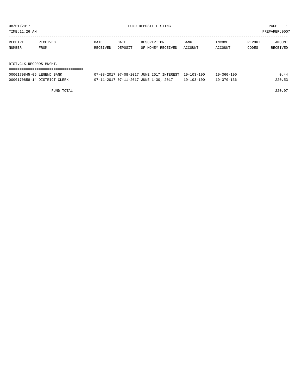TIME:11:26 AM PREPARER:0007

| RECEIPT                 | RECEIVED | DATE     | DATE    | DESCRIPTION       | <b>BANK</b> | INCOME  | REPORT | AMOUNT   |
|-------------------------|----------|----------|---------|-------------------|-------------|---------|--------|----------|
| NUMBER                  | FROM     | RECEIVED | DEPOSIT | OF MONEY RECEIVED | ACCOUNT     | ACCOUNT | CODES  | RECEIVED |
|                         |          |          |         |                   |             |         |        |          |
|                         |          |          |         |                   |             |         |        |          |
| DIST.CLK.RECORDS MNGMT. |          |          |         |                   |             |         |        |          |

| --------------------------   |                                                     |            |                  |        |
|------------------------------|-----------------------------------------------------|------------|------------------|--------|
| 0000170845-05 LEGEND BANK    | 07-08-2017 07-08-2017 JUNE 2017 INTEREST 19-103-100 |            | $19 - 360 - 100$ | 0.44   |
| 0000170858-14 DISTRICT CLERK | 07-11-2017 07-11-2017 JUNE 1-30, 2017               | 19-103-100 | $19 - 370 - 136$ | 220.53 |

FUND TOTAL 220.97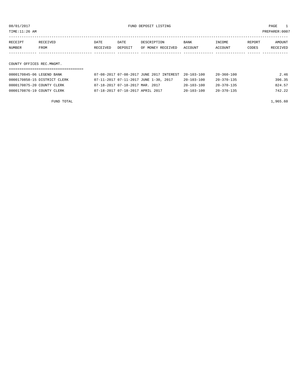TIME:11:26 AM PREPARER:0007

| RECEIPT | RECEIVED    | DATE     | DATE    | DESCRIPTION       | <b>BANK</b> | <b>TNCOME</b> | REPORT | AMOUNT   |
|---------|-------------|----------|---------|-------------------|-------------|---------------|--------|----------|
| NUMBER  | <b>FROM</b> | RECEIVED | DEPOSIT | OF MONEY RECEIVED | ACCOUNT     | ACCOUNT       | CODES  | RECEIVED |
|         |             |          |         |                   |             |               |        |          |

#### COUNTY OFFICES REC.MNGMT.

| 0000170845-06 LEGEND BANK    | 07-08-2017 07-08-2017 JUNE 2017 INTEREST 20-103-100 |                  | 20-360-100       | 2.46   |
|------------------------------|-----------------------------------------------------|------------------|------------------|--------|
| 0000170858-15 DISTRICT CLERK | 07-11-2017 07-11-2017 JUNE 1-30, 2017               | $20 - 103 - 100$ | $20 - 370 - 135$ | 396.35 |
| 0000170875-20 COUNTY CLERK   | 07-18-2017 07-18-2017 MAR. 2017                     | $20 - 103 - 100$ | $20 - 370 - 135$ | 824.57 |
| 0000170876-19 COUNTY CLERK   | 07-18-2017 07-18-2017 APRIL 2017                    | $20 - 103 - 100$ | $20 - 370 - 135$ | 742.22 |

FUND TOTAL  $1,965.60$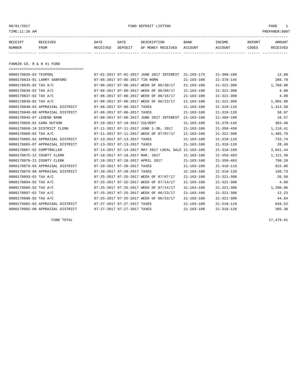## 08/01/2017 FUND DEPOSIT LISTING PAGE 1

| RECEIPT | <b>RECEIVED</b> | DATE            | DATE    | DESCRIPTION              | BANK    | INCOME        | REPORT | AMOUNT          |
|---------|-----------------|-----------------|---------|--------------------------|---------|---------------|--------|-----------------|
| NUMBER  | FROM            | <b>RECEIVED</b> | DEPOSIT | RECEIVED<br>MONE Y<br>つ戸 | ACCOUNT | <b>CCOUNT</b> | CODES  | <b>RECEIVED</b> |
|         |                 |                 |         |                          |         |               |        |                 |

FANNIN CO. R & B #1 FUND

| ===================================== |                                  |                                                      |                  |                  |          |
|---------------------------------------|----------------------------------|------------------------------------------------------|------------------|------------------|----------|
| 0000170826-02 TEXPOOL                 |                                  | 07-01-2017 07-01-2017 JUNE 2017 INTEREST             | $21 - 103 - 175$ | $21 - 360 - 100$ | 12.60    |
| 0000170833-01 LARRY SANFORD           | 07-05-2017 07-05-2017 TIN HORN   |                                                      | $21 - 103 - 100$ | $21 - 370 - 145$ | 286.70   |
| 0000170835-02 TAX A/C                 |                                  | 07-06-2017 07-06-2017 WEEK OF 06/30/17               | $21 - 103 - 100$ | $21 - 321 - 300$ | 1,768.98 |
| 0000170836-02 TAX A/C                 |                                  | 07-06-2017 07-06-2017 WEEK OF 06/09/17               | $21 - 103 - 100$ | $21 - 321 - 300$ | 4.08     |
| 0000170837-02 TAX A/C                 |                                  | 07-06-2017 07-06-2017 WEEK OF 06/16/17               | $21 - 103 - 100$ | $21 - 321 - 300$ | 4.08     |
| 0000170839-02 TAX A/C                 |                                  | 07-06-2017 07-06-2017 WEEK OF 06/23/17               | $21 - 103 - 100$ | $21 - 321 - 300$ | 1,065.88 |
| 0000170840-03 APPRAISAL DISTRICT      | 07-06-2017 07-06-2017 TAXES      |                                                      | $21 - 103 - 100$ | $21 - 310 - 110$ | 1,313.58 |
| 0000170840-08 APPRAISAL DISTRICT      | 07-06-2017 07-06-2017 TAXES      |                                                      | $21 - 103 - 100$ | $21 - 310 - 120$ | 58.97    |
| 0000170845-07 LEGEND BANK             |                                  | 07-08-2017 07-08-2017 JUNE 2017 INTEREST             | $21 - 103 - 100$ | $21 - 360 - 100$ | 16.57    |
| 0000170856-01 CARA HUTSON             | 07-10-2017 07-10-2017 CULVERT    |                                                      | $21 - 103 - 100$ | $21 - 370 - 145$ | 383.40   |
| 0000170858-18 DISTRICT CLERK          |                                  | 07-11-2017 07-11-2017 JUNE 1-30, 2017                | $21 - 103 - 100$ | $21 - 350 - 450$ | 1,116.41 |
| 0000170860-02 TAX A/C                 |                                  | 07-11-2017 07-11-2017 WEEK OF 07/07/17               | $21 - 103 - 100$ | $21 - 321 - 300$ | 1,485.70 |
| 0000170865-02 APPRAISAL DISTRICT      | 07-13-2017 07-13-2017 TAXES      |                                                      | $21 - 103 - 100$ | $21 - 310 - 110$ | 733.74   |
| 0000170865-07 APPRAISAL DISTRICT      | 07-13-2017 07-13-2017 TAXES      |                                                      | $21 - 103 - 100$ | $21 - 310 - 120$ | 20.49    |
| 0000170867-02 COMPTROLLER             |                                  | 07-14-2017 07-14-2017 MAY 2017 LOCAL SALE 21-103-100 |                  | $21 - 318 - 160$ | 3,841.44 |
| 0000170875-22 COUNTY CLERK            | 07-18-2017 07-18-2017 MAR. 2017  |                                                      | $21 - 103 - 100$ | $21 - 350 - 403$ | 1,121.39 |
| 0000170876-21 COUNTY CLERK            | 07-18-2017 07-18-2017 APRIL 2017 |                                                      | $21 - 103 - 100$ | $21 - 350 - 403$ | 798.20   |
| 0000170879-03 APPRAISAL DISTRICT      | 07-20-2017 07-20-2017 TAXES      |                                                      | $21 - 103 - 100$ | $21 - 310 - 110$ | 915.06   |
| 0000170879-08 APPRAISAL DISTRICT      | 07-20-2017 07-20-2017 TAXES      |                                                      | $21 - 103 - 100$ | $21 - 310 - 120$ | 199.73   |
| 0000170893-02 TAX A/C                 |                                  | 07-25-2017 07-25-2017 WEEK OF 07/07/17               | $21 - 103 - 100$ | $21 - 321 - 300$ | 26.50    |
| 0000170894-02 TAX A/C                 |                                  | 07-25-2017 07-25-2017 WEEK OF 07/14/17               | $21 - 103 - 100$ | $21 - 321 - 300$ | 4.08     |
| 0000170895-02 TAX A/C                 |                                  | 07-25-2017 07-25-2017 WEEK OF 07/14/17               | $21 - 103 - 100$ | $21 - 321 - 300$ | 1,290.06 |
| 0000170897-02 TAX A/C                 |                                  | 07-25-2017 07-25-2017 WEEK OF 06/23/17               | $21 - 103 - 100$ | $21 - 321 - 300$ | 12.23    |
| 0000170898-02 TAX A/C                 |                                  | 07-25-2017 07-25-2017 WEEK OF 06/23/17               | $21 - 103 - 100$ | $21 - 321 - 300$ | 44.84    |
| 0000170902-03 APPRAISAL DISTRICT      | 07-27-2017 07-27-2017 TAXES      |                                                      | $21 - 103 - 100$ | $21 - 310 - 110$ | 649.52   |
| 0000170902-08 APPRAISAL DISTRICT      | 07-27-2017 07-27-2017 TAXES      |                                                      | $21 - 103 - 100$ | $21 - 310 - 120$ | 305.38   |

FUND TOTAL 17,479.61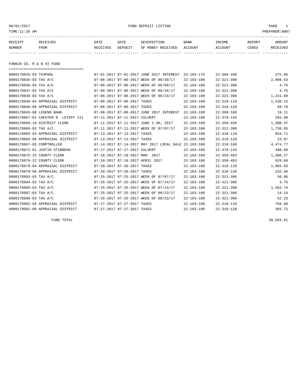## 08/01/2017 FUND DEPOSIT LISTING PAGE 1

| RECEIPT | <b>RECEIVED</b> | DATE     | DATE    | DESCRIPTION       | <b>BANK</b> | INCOME  | REPORT | AMOUNT          |
|---------|-----------------|----------|---------|-------------------|-------------|---------|--------|-----------------|
| NUMBER  | FROM            | RECEIVED | DEPOSIT | OF MONEY RECEIVED | ACCOUNT     | ACCOUNT | CODES  | <b>RECEIVED</b> |
|         |                 |          |         |                   |             |         |        |                 |

FANNIN CO. R & B #2 FUND

| ===================================== |                                  |                                                      |                  |                  |            |
|---------------------------------------|----------------------------------|------------------------------------------------------|------------------|------------------|------------|
| 0000170826-03 TEXPOOL                 |                                  | 07-01-2017 07-01-2017 JUNE 2017 INTEREST             | $22 - 103 - 175$ | $22 - 360 - 100$ | 275.05     |
| 0000170835-03 TAX A/C                 |                                  | 07-06-2017 07-06-2017 WEEK OF 06/30/17               | $22 - 103 - 100$ | $22 - 321 - 300$ | 2,060.63   |
| 0000170836-03 TAX A/C                 |                                  | 07-06-2017 07-06-2017 WEEK OF 06/09/17               | $22 - 103 - 100$ | $22 - 321 - 300$ | 4.75       |
| 0000170837-03 TAX A/C                 |                                  | 07-06-2017 07-06-2017 WEEK OF 06/16/17               | $22 - 103 - 100$ | $22 - 321 - 300$ | 4.75       |
| 0000170839-03 TAX A/C                 |                                  | 07-06-2017 07-06-2017 WEEK OF 06/23/17               | $22 - 103 - 100$ | $22 - 321 - 300$ | 1,241.60   |
| 0000170840-04 APPRAISAL DISTRICT      | 07-06-2017 07-06-2017 TAXES      |                                                      | $22 - 103 - 100$ | $22 - 310 - 110$ | 1,530.15   |
| 0000170840-09 APPRAISAL DISTRICT      | 07-06-2017 07-06-2017 TAXES      |                                                      | $22 - 103 - 100$ | $22 - 310 - 120$ | 68.70      |
| 0000170845-08 LEGEND BANK             |                                  | 07-08-2017 07-08-2017 JUNE 2017 INTEREST             | $22 - 103 - 100$ | $22 - 360 - 100$ | 19.11      |
| 0000170857-01 CHESTER R. LETEFF III   | 07-11-2017 07-11-2017 CULVERT    |                                                      | $22 - 103 - 100$ | $22 - 370 - 145$ | 255.00     |
| 0000170858-19 DISTRICT CLERK          |                                  | 07-11-2017 07-11-2017 JUNE 1-30, 2017                | $22 - 103 - 100$ | $22 - 350 - 450$ | 1,300.47   |
| 0000170860-03 TAX A/C                 |                                  | 07-11-2017 07-11-2017 WEEK OF 07/07/17               | $22 - 103 - 100$ | $22 - 321 - 300$ | 1,730.65   |
| 0000170865-03 APPRAISAL DISTRICT      | 07-13-2017 07-13-2017 TAXES      |                                                      | $22 - 103 - 100$ | $22 - 310 - 110$ | 854.71     |
| 0000170865-08 APPRAISAL DISTRICT      | 07-13-2017 07-13-2017 TAXES      |                                                      | $22 - 103 - 100$ | $22 - 310 - 120$ | 23.87      |
| 0000170867-03 COMPTROLLER             |                                  | 07-14-2017 07-14-2017 MAY 2017 LOCAL SALE 22-103-100 |                  | $22 - 318 - 160$ | 4, 474, 77 |
| 0000170872-01 JUSTIN STIBBENS         | 07-17-2017 07-17-2017 CULVERT    |                                                      | $22 - 103 - 100$ | $22 - 370 - 145$ | 488.60     |
| 0000170875-23 COUNTY CLERK            | 07-18-2017 07-18-2017 MAR. 2017  |                                                      | $22 - 103 - 100$ | $22 - 350 - 403$ | 1,306.27   |
| 0000170876-22 COUNTY CLERK            | 07-18-2017 07-18-2017 APRIL 2017 |                                                      | $22 - 103 - 100$ | $22 - 350 - 403$ | 929.80     |
| 0000170879-04 APPRAISAL DISTRICT      | 07-20-2017 07-20-2017 TAXES      |                                                      | $22 - 103 - 100$ | $22 - 310 - 110$ | 1,065.93   |
| 0000170879-09 APPRAISAL DISTRICT      | 07-20-2017 07-20-2017 TAXES      |                                                      | $22 - 103 - 100$ | $22 - 310 - 120$ | 232.66     |
| 0000170893-03 TAX A/C                 |                                  | 07-25-2017 07-25-2017 WEEK OF 07/07/17               | $22 - 103 - 100$ | $22 - 321 - 300$ | 30.86      |
| 0000170894-03 TAX A/C                 |                                  | 07-25-2017 07-25-2017 WEEK OF 07/14/17               | $22 - 103 - 100$ | $22 - 321 - 300$ | 4.75       |
| 0000170895-03 TAX A/C                 |                                  | 07-25-2017 07-25-2017 WEEK OF 07/14/17               | $22 - 103 - 100$ | $22 - 321 - 300$ | 1,502.74   |
| 0000170897-03 TAX A/C                 |                                  | 07-25-2017 07-25-2017 WEEK OF 06/23/17               | $22 - 103 - 100$ | $22 - 321 - 300$ | 14.24      |
| 0000170898-03 TAX A/C                 |                                  | 07-25-2017 07-25-2017 WEEK OF 06/23/17               | $22 - 103 - 100$ | $22 - 321 - 300$ | 52.23      |
| 0000170902-04 APPRAISAL DISTRICT      | 07-27-2017 07-27-2017 TAXES      |                                                      | $22 - 103 - 100$ | $22 - 310 - 110$ | 756.60     |
| 0000170902-09 APPRAISAL DISTRICT      | 07-27-2017 07-27-2017 TAXES      |                                                      | $22 - 103 - 100$ | $22 - 310 - 120$ | 355.72     |

FUND TOTAL 20,584.61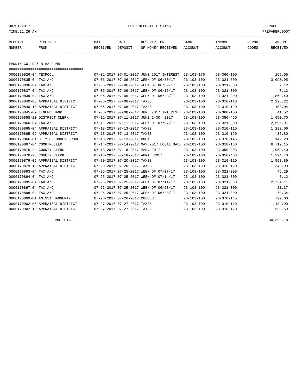## 08/01/2017 FUND DEPOSIT LISTING PAGE 1

| RECEIPT | <b>RECEIVED</b> | DATE     | DATE    | DESCRIPTION       | <b>BANK</b> | INCOME  | REPORT | AMOUNT          |
|---------|-----------------|----------|---------|-------------------|-------------|---------|--------|-----------------|
| NUMBER  | FROM            | RECEIVED | DEPOSIT | OF MONEY RECEIVED | ACCOUNT     | ACCOUNT | CODES  | <b>RECEIVED</b> |
|         |                 |          |         |                   |             |         |        |                 |

FANNIN CO. R & B #3 FUND

| ===================================== |                                  |                                                      |                  |                  |          |
|---------------------------------------|----------------------------------|------------------------------------------------------|------------------|------------------|----------|
| 0000170826-04 TEXPOOL                 |                                  | 07-01-2017 07-01-2017 JUNE 2017 INTEREST             | $23 - 103 - 175$ | $23 - 360 - 100$ | 165.55   |
| 0000170835-04 TAX A/C                 |                                  | 07-06-2017 07-06-2017 WEEK OF 06/30/17               | $23 - 103 - 100$ | $23 - 321 - 300$ | 3,090.95 |
| 0000170836-04 TAX A/C                 |                                  | 07-06-2017 07-06-2017 WEEK OF 06/09/17               | $23 - 103 - 100$ | $23 - 321 - 300$ | 7.12     |
| 0000170837-04 TAX A/C                 |                                  | 07-06-2017 07-06-2017 WEEK OF 06/16/17               | $23 - 103 - 100$ | $23 - 321 - 300$ | 7.12     |
| 0000170839-04 TAX A/C                 |                                  | 07-06-2017 07-06-2017 WEEK OF 06/23/17               | $23 - 103 - 100$ | $23 - 321 - 300$ | 1,862.40 |
| 0000170840-05 APPRAISAL DISTRICT      | 07-06-2017 07-06-2017 TAXES      |                                                      | $23 - 103 - 100$ | $23 - 310 - 110$ | 2,295.22 |
| 0000170840-10 APPRAISAL DISTRICT      | 07-06-2017 07-06-2017 TAXES      |                                                      | $23 - 103 - 100$ | $23 - 310 - 120$ | 103.04   |
| 0000170845-09 LEGEND BANK             |                                  | 07-08-2017 07-08-2017 JUNE 2017 INTEREST             | $23 - 103 - 100$ | $23 - 360 - 100$ | 41.52    |
| 0000170858-20 DISTRICT CLERK          |                                  | 07-11-2017 07-11-2017 JUNE 1-30, 2017                | $23 - 103 - 100$ | $23 - 350 - 450$ | 1,950.70 |
| 0000170860-04 TAX A/C                 |                                  | 07-11-2017 07-11-2017 WEEK OF 07/07/17               | $23 - 103 - 100$ | $23 - 321 - 300$ | 2,595.97 |
| 0000170865-04 APPRAISAL DISTRICT      | 07-13-2017 07-13-2017 TAXES      |                                                      | $23 - 103 - 100$ | $23 - 310 - 110$ | 1,282.06 |
| 0000170865-09 APPRAISAL DISTRICT      | 07-13-2017 07-13-2017 TAXES      |                                                      | $23 - 103 - 100$ | $23 - 310 - 120$ | 35.80    |
| 0000170866-01 CITY OF HONEY GROVE     | 07-13-2017 07-13-2017 ROCK       |                                                      | $23 - 103 - 100$ | $23 - 370 - 145$ | 142.28   |
| 0000170867-04 COMPTROLLER             |                                  | 07-14-2017 07-14-2017 MAY 2017 LOCAL SALE 23-103-100 |                  | $23 - 318 - 160$ | 6,712.15 |
| 0000170875-24 COUNTY CLERK            | 07-18-2017 07-18-2017 MAR. 2017  |                                                      | $23 - 103 - 100$ | $23 - 350 - 403$ | 1,959.40 |
| 0000170876-23 COUNTY CLERK            | 07-18-2017 07-18-2017 APRIL 2017 |                                                      | $23 - 103 - 100$ | $23 - 350 - 403$ | 1,394.70 |
| 0000170879-05 APPRAISAL DISTRICT      | 07-20-2017 07-20-2017 TAXES      |                                                      | $23 - 103 - 100$ | $23 - 310 - 110$ | 1,598.89 |
| 0000170879-10 APPRAISAL DISTRICT      | 07-20-2017 07-20-2017 TAXES      |                                                      | $23 - 103 - 100$ | $23 - 310 - 120$ | 348.99   |
| 0000170893-04 TAX A/C                 |                                  | 07-25-2017 07-25-2017 WEEK OF 07/07/17               | $23 - 103 - 100$ | $23 - 321 - 300$ | 46.29    |
| 0000170894-04 TAX A/C                 |                                  | 07-25-2017 07-25-2017 WEEK OF 07/14/17               | $23 - 103 - 100$ | $23 - 321 - 300$ | 7.12     |
| 0000170895-04 TAX A/C                 |                                  | 07-25-2017 07-25-2017 WEEK OF 07/14/17               | $23 - 103 - 100$ | $23 - 321 - 300$ | 2,254.11 |
| 0000170897-04 TAX A/C                 |                                  | 07-25-2017 07-25-2017 WEEK OF 06/23/17               | $23 - 103 - 100$ | $23 - 321 - 300$ | 21.37    |
| 0000170898-04 TAX A/C                 |                                  | 07-25-2017 07-25-2017 WEEK OF 06/23/17               | $23 - 103 - 100$ | $23 - 321 - 300$ | 78.34    |
| 0000170899-01 ANISSA HAGGERTY         | 07-26-2017 07-26-2017 CULVERT    |                                                      | $23 - 103 - 100$ | $23 - 370 - 145$ | 722.60   |
| 0000170902-05 APPRAISAL DISTRICT      | 07-27-2017 07-27-2017 TAXES      |                                                      | $23 - 103 - 100$ | $23 - 310 - 110$ | 1,134.90 |
| 0000170902-10 APPRAISAL DISTRICT      | 07-27-2017 07-27-2017 TAXES      |                                                      | $23 - 103 - 100$ | $23 - 310 - 120$ | 533.59   |

FUND TOTAL  $30,392.18$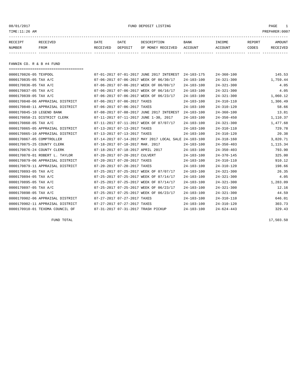08/01/2017 FUND DEPOSIT LISTING PAGE 1

| RECEIPT | <b>RECEIVED</b> | DATE     | DATE    | DESCRIPTION       | <b>BANK</b> | INCOME  | <b>REPORT</b> | AMOUNT          |
|---------|-----------------|----------|---------|-------------------|-------------|---------|---------------|-----------------|
| NUMBER  | FROM            | RECEIVED | DEPOSIT | OF MONEY RECEIVED | ACCOUNT     | ACCOUNT | CODES         | <b>RECEIVED</b> |
|         |                 |          |         |                   |             |         |               |                 |

FANNIN CO. R & B #4 FUND

| ===================================== |                                  |                                                      |                  |                  |          |
|---------------------------------------|----------------------------------|------------------------------------------------------|------------------|------------------|----------|
| 0000170826-05 TEXPOOL                 |                                  | 07-01-2017 07-01-2017 JUNE 2017 INTEREST             | $24 - 103 - 175$ | $24 - 360 - 100$ | 145.53   |
| 0000170835-05 TAX A/C                 |                                  | 07-06-2017 07-06-2017 WEEK OF 06/30/17               | $24 - 103 - 100$ | $24 - 321 - 300$ | 1,759.44 |
| 0000170836-05 TAX A/C                 |                                  | 07-06-2017 07-06-2017 WEEK OF 06/09/17               | $24 - 103 - 100$ | $24 - 321 - 300$ | 4.05     |
| 0000170837-05 TAX A/C                 |                                  | 07-06-2017 07-06-2017 WEEK OF 06/16/17               | $24 - 103 - 100$ | $24 - 321 - 300$ | 4.05     |
| 0000170839-05 TAX A/C                 |                                  | 07-06-2017 07-06-2017 WEEK OF 06/23/17               | $24 - 103 - 100$ | $24 - 321 - 300$ | 1,060.12 |
| 0000170840-06 APPRAISAL DISTRICT      | 07-06-2017 07-06-2017 TAXES      |                                                      | $24 - 103 - 100$ | $24 - 310 - 110$ | 1,306.49 |
| 0000170840-11 APPRAISAL DISTRICT      | 07-06-2017 07-06-2017 TAXES      |                                                      | $24 - 103 - 100$ | $24 - 310 - 120$ | 58.66    |
| 0000170845-10 LEGEND BANK             |                                  | 07-08-2017 07-08-2017 JUNE 2017 INTEREST             | $24 - 103 - 100$ | $24 - 360 - 100$ | 13.81    |
| 0000170858-21 DISTRICT CLERK          |                                  | 07-11-2017 07-11-2017 JUNE 1-30, 2017                | $24 - 103 - 100$ | $24 - 350 - 450$ | 1,110.37 |
| 0000170860-05 TAX A/C                 |                                  | 07-11-2017 07-11-2017 WEEK OF 07/07/17               | $24 - 103 - 100$ | $24 - 321 - 300$ | 1,477.68 |
| 0000170865-05 APPRAISAL DISTRICT      | 07-13-2017 07-13-2017 TAXES      |                                                      | $24 - 103 - 100$ | $24 - 310 - 110$ | 729.78   |
| 0000170865-10 APPRAISAL DISTRICT      | 07-13-2017 07-13-2017 TAXES      |                                                      | $24 - 103 - 100$ | $24 - 310 - 120$ | 20.38    |
| 0000170867-05 COMPTROLLER             |                                  | 07-14-2017 07-14-2017 MAY 2017 LOCAL SALE 24-103-100 |                  | $24 - 318 - 160$ | 3,820.71 |
| 0000170875-25 COUNTY CLERK            | 07-18-2017 07-18-2017 MAR. 2017  |                                                      | $24 - 103 - 100$ | $24 - 350 - 403$ | 1,115.34 |
| 0000170876-24 COUNTY CLERK            | 07-18-2017 07-18-2017 APRIL 2017 |                                                      | $24 - 103 - 100$ | $24 - 350 - 403$ | 793.90   |
| 0000170878-01 ROBERT L. TAYLOR        | 07-20-2017 07-20-2017 CULVERT    |                                                      | $24 - 103 - 100$ | $24 - 370 - 145$ | 325.00   |
| 0000170879-06 APPRAISAL DISTRICT      | 07-20-2017 07-20-2017 TAXES      |                                                      | $24 - 103 - 100$ | $24 - 310 - 110$ | 910.12   |
| 0000170879-11 APPRAISAL DISTRICT      | 07-20-2017 07-20-2017 TAXES      |                                                      | $24 - 103 - 100$ | $24 - 310 - 120$ | 198.66   |
| 0000170893-05 TAX A/C                 |                                  | 07-25-2017 07-25-2017 WEEK OF 07/07/17               | $24 - 103 - 100$ | $24 - 321 - 300$ | 26.35    |
| 0000170894-05 TAX A/C                 |                                  | 07-25-2017 07-25-2017 WEEK OF 07/14/17               | $24 - 103 - 100$ | $24 - 321 - 300$ | 4.05     |
| 0000170895-05 TAX A/C                 |                                  | 07-25-2017 07-25-2017 WEEK OF 07/14/17               | $24 - 103 - 100$ | $24 - 321 - 300$ | 1,283.09 |
| 0000170897-05 TAX A/C                 |                                  | 07-25-2017 07-25-2017 WEEK OF 06/23/17               | $24 - 103 - 100$ | $24 - 321 - 300$ | 12.16    |
| 0000170898-05 TAX A/C                 |                                  | 07-25-2017 07-25-2017 WEEK OF 06/23/17               | $24 - 103 - 100$ | $24 - 321 - 300$ | 44.59    |
| 0000170902-06 APPRAISAL DISTRICT      | 07-27-2017 07-27-2017 TAXES      |                                                      | $24 - 103 - 100$ | $24 - 310 - 110$ | 646.01   |
| 0000170902-11 APPRAISAL DISTRICT      | 07-27-2017 07-27-2017 TAXES      |                                                      | $24 - 103 - 100$ | $24 - 310 - 120$ | 303.73   |
| 0000170910-01 TEXOMA COUNCIL OF       |                                  | 07-31-2017 07-31-2017 TRASH PICKUP                   | $24 - 103 - 100$ | $24 - 624 - 443$ | 329.43   |

FUND TOTAL  $17,503.50$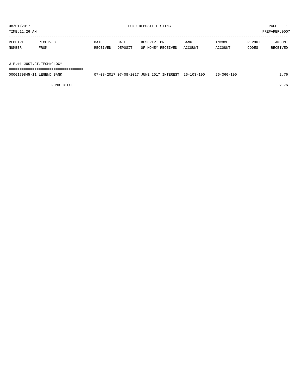TIME:11:26 AM PREPARER:0007

| RECEIPT                   | RECEIVED | DATE     | DATE    | DESCRIPTION       | BANK    | INCOME  | REPORT | AMOUNT   |
|---------------------------|----------|----------|---------|-------------------|---------|---------|--------|----------|
| NUMBER                    | FROM     | RECEIVED | DEPOSIT | OF MONEY RECEIVED | ACCOUNT | ACCOUNT | CODES  | RECEIVED |
|                           |          |          |         |                   |         |         |        |          |
|                           |          |          |         |                   |         |         |        |          |
| J.P.#1 JUST.CT.TECHNOLOGY |          |          |         |                   |         |         |        |          |

===================================

| 0000170845-11 LEGEND BANK | 07-08-2017 07-08-2017 JUNE 2017 INTEREST 26-103-100 |  | 26-360-100 | 2.76 |
|---------------------------|-----------------------------------------------------|--|------------|------|
|                           |                                                     |  |            |      |

FUND TOTAL 2.76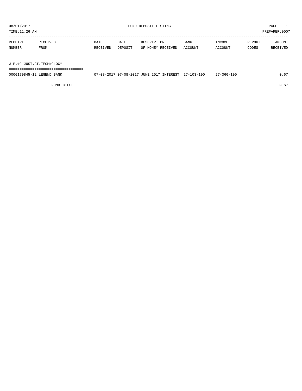TIME:11:26 AM PREPARER:0007

| RECEIPT | RECEIVED    | DATE     | DATE    | DESCRIPTION       | <b>BANK</b> | INCOME  | REPORT | AMOUNT   |
|---------|-------------|----------|---------|-------------------|-------------|---------|--------|----------|
| NUMBER  | <b>FROM</b> | RECEIVED | DEPOSIT | OF MONEY RECEIVED | ACCOUNT     | ACCOUNT | CODES  | RECEIVED |
|         |             |          |         |                   |             |         |        |          |

J.P.#2 JUST.CT.TECHNOLOGY

===================================

| 0000170845-12 LEGEND BANK | 07-08-2017 07-08-2017 JUNE 2017 INTEREST 27-103-100 |  |  | $27 - 360 - 100$ | 57. ر |
|---------------------------|-----------------------------------------------------|--|--|------------------|-------|
|                           |                                                     |  |  |                  |       |

FUND TOTAL  $0.67$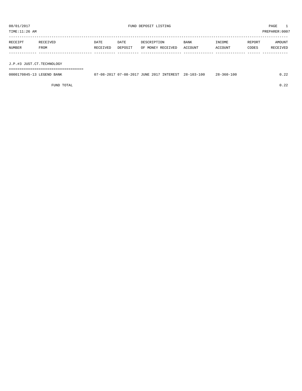TIME:11:26 AM PREPARER:0007

| RECEIPT | RECEIVED | DATE     | DATE    | DESCRIPTION       | <b>BANK</b> | INCOME  | REPORT | AMOUNT   |
|---------|----------|----------|---------|-------------------|-------------|---------|--------|----------|
| NUMBER  | FROM     | RECEIVED | DEPOSIT | OF MONEY RECEIVED | ACCOUNT     | ACCOUNT | CODES  | RECEIVED |
|         |          |          |         |                   |             |         |        |          |
|         |          |          |         |                   |             |         |        |          |

J.P.#3 JUST.CT.TECHNOLOGY

===================================

| 0000170845-13 LEGEND BANK | 07-08-2017 07-08-2017 JUNE 2017 INTEREST 28-103-100 |  | 28-360-100 | J.22 |
|---------------------------|-----------------------------------------------------|--|------------|------|
|                           |                                                     |  |            |      |

FUND TOTAL 0.22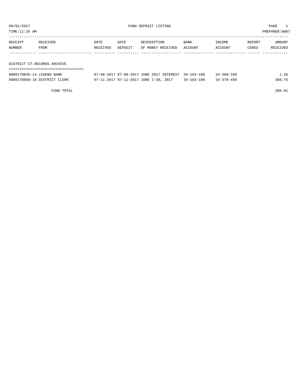TIME:11:26 AM PREPARER:0007

| RECEIPT | RECEIVED                    | DATE     | DATE    | DESCRIPTION       | BANK    | INCOME  | REPORT | AMOUNT          |
|---------|-----------------------------|----------|---------|-------------------|---------|---------|--------|-----------------|
| NUMBER  | FROM                        | RECEIVED | DEPOSIT | OF MONEY RECEIVED | ACCOUNT | ACCOUNT | CODES  | <b>RECEIVED</b> |
|         |                             |          |         |                   |         |         |        |                 |
|         |                             |          |         |                   |         |         |        |                 |
|         | DISTRICT CT.RECORDS ARCHIVE |          |         |                   |         |         |        |                 |

===================================

| 0000170845-14 LEGEND BANK    | 07-08-2017 07-08-2017 JUNE 2017 INTEREST 34-103-100 |                  | $34 - 360 - 100$ | 1.26   |
|------------------------------|-----------------------------------------------------|------------------|------------------|--------|
| 0000170858-16 DISTRICT CLERK | 07-11-2017 07-11-2017 JUNE 1-30, 2017               | $34 - 103 - 100$ | $34 - 370 - 450$ | 388.75 |

FUND TOTAL 390.01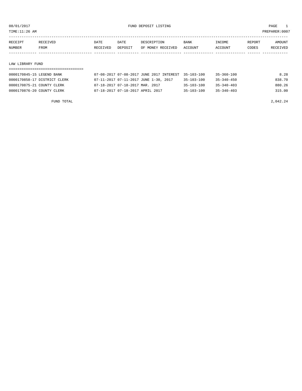TIME:11:26 AM PREPARER:0007

| RECEIPT | <b>RECEIVED</b> | DATE     | DATE           | DE SCR T PT TON   | <b>BANK</b> | NCOME <sup></sup> | REPORT | NMOUNT          |
|---------|-----------------|----------|----------------|-------------------|-------------|-------------------|--------|-----------------|
| NUMBER  | FROM            | RECEIVED | <b>DEPOSTT</b> | OF MONEY RECEIVED | ACCOUNT     | <b>ACCOUNT</b>    | CODES  | <b>RECEIVED</b> |
|         |                 |          |                |                   |             |                   |        |                 |

#### LAW LIBRARY FUND

| 0000170845-15 LEGEND BANK    | 07-08-2017 07-08-2017 JUNE 2017 INTEREST 35-103-100 |                  | 35-360-100       | 8.28   |
|------------------------------|-----------------------------------------------------|------------------|------------------|--------|
| 0000170858-17 DISTRICT CLERK | 07-11-2017 07-11-2017 JUNE 1-30, 2017               | $35 - 103 - 100$ | $35 - 340 - 450$ | 838.70 |
| 0000170875-21 COUNTY CLERK   | 07-18-2017 07-18-2017 MAR. 2017                     | $35 - 103 - 100$ | $35 - 340 - 403$ | 880.26 |
| 0000170876-20 COUNTY CLERK   | 07-18-2017 07-18-2017 APRIL 2017                    | $35 - 103 - 100$ | $35 - 340 - 403$ | 315.00 |

FUND TOTAL  $2,042.24$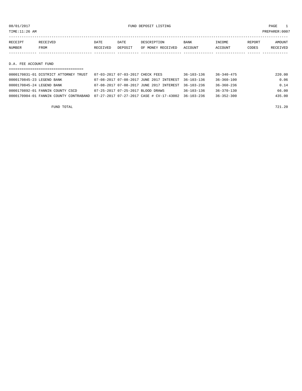08/01/2017 FUND DEPOSIT LISTING PAGE 1

| RECEIPT | RECEIVED | DATE     | DATE    | DESCRIPTION       | <b>BANK</b> | INCOME  | REPORT | AMOUNT          |
|---------|----------|----------|---------|-------------------|-------------|---------|--------|-----------------|
| NUMBER  | FROM     | RECEIVED | DEPOSIT | OF MONEY RECEIVED | ACCOUNT     | ACCOUNT | CODES  | <b>RECEIVED</b> |
|         |          |          |         |                   |             |         |        |                 |

D.A. FEE ACCOUNT FUND

|                           | ------------------------------------                                                       |                                  |                                                     |                  |                  |        |
|---------------------------|--------------------------------------------------------------------------------------------|----------------------------------|-----------------------------------------------------|------------------|------------------|--------|
|                           | 0000170831-01 DISTRICT ATTORNEY TRUST                                                      | 07-03-2017 07-03-2017 CHECK FEES |                                                     | $36 - 103 - 136$ | 36-340-475       | 220.00 |
| 0000170845-23 LEGEND BANK |                                                                                            |                                  | 07-08-2017 07-08-2017 JUNE 2017 INTEREST 36-103-136 |                  | 36-360-100       | 0.06   |
| 0000170845-24 LEGEND BANK |                                                                                            |                                  | 07-08-2017 07-08-2017 JUNE 2017 INTEREST 36-103-236 |                  | $36 - 360 - 236$ | 0.14   |
|                           | 0000170892-01 FANNIN COUNTY CSCD                                                           |                                  | 07-25-2017 07-25-2017 BLOOD DRAWS                   | $36 - 103 - 136$ | $36 - 370 - 130$ | 66.00  |
|                           | 0000170904-01 FANNIN COUNTY CONTRABAND 07-27-2017 07-27-2017 CASE # CV-17-43002 36-103-236 |                                  |                                                     |                  | $36 - 352 - 300$ | 435.00 |
|                           |                                                                                            |                                  |                                                     |                  |                  |        |

FUND TOTAL 721.20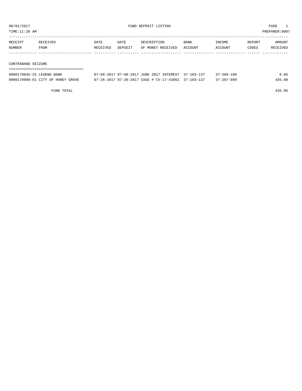TIME:11:26 AM PREPARER:0007

| RECEIPT | RECEIVED | DATE     | DATE    | DESCRIPTION       | <b>BANK</b> | INCOME  | REPORT | AMOUNT   |
|---------|----------|----------|---------|-------------------|-------------|---------|--------|----------|
| NUMBER  | FROM     | RECEIVED | DEPOSIT | OF MONEY RECEIVED | ACCOUNT     | ACCOUNT | CODES  | RECEIVED |
|         |          |          |         |                   |             |         |        |          |
|         |          |          |         |                   |             |         |        |          |

CONTRABAND SEIZURE

| ---------------------------------<br>------------------------------ |                                                     |                  |        |
|---------------------------------------------------------------------|-----------------------------------------------------|------------------|--------|
| 0000170845-25 LEGEND BANK                                           | 07-08-2017 07-08-2017 JUNE 2017 INTEREST 37-103-137 | $37 - 360 - 100$ | 0.05   |
| 0000170900-01 CITY OF HONEY GROVE                                   | 07-26-2017 07-26-2017 CASE # CV-17-43002 37-103-137 | $37 - 207 - 099$ | 435.00 |

FUND TOTAL 435.05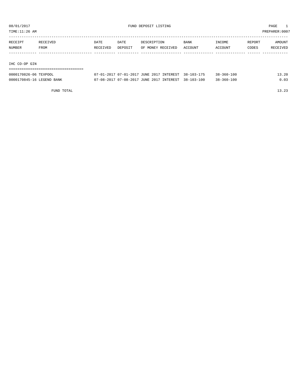TIME:11:26 AM PREPARER:0007

| RECEIPT | RECEIVED    | DATE     | DATE    | DESCRIPTION       | BANK    | INCOME  | REPORT | AMOUNT   |
|---------|-------------|----------|---------|-------------------|---------|---------|--------|----------|
| NUMBER  | <b>FROM</b> | RECEIVED | DEPOSIT | OF MONEY RECEIVED | ACCOUNT | ACCOUNT | CODES  | RECEIVED |
|         |             |          |         |                   |         |         |        |          |
|         |             |          |         |                   |         |         |        |          |
|         |             |          |         |                   |         |         |        |          |

IHC CO-OP GIN

| -------------------------------------  |  |  |  |  |  |  |  |  |  |  |  |  |  |  |  |  |  |
|----------------------------------------|--|--|--|--|--|--|--|--|--|--|--|--|--|--|--|--|--|
| -------------------------------------- |  |  |  |  |  |  |  |  |  |  |  |  |  |  |  |  |  |

| 0000170826-06 TEXPOOL     | 07-01-2017 07-01-2017 JUNE 2017 INTEREST 38-103-175 | $38 - 360 - 100$ | 13.20 |
|---------------------------|-----------------------------------------------------|------------------|-------|
| 0000170845-16 LEGEND BANK | 07-08-2017 07-08-2017 JUNE 2017 INTEREST 38-103-100 | $38 - 360 - 100$ | 0.03  |

FUND TOTAL 13.23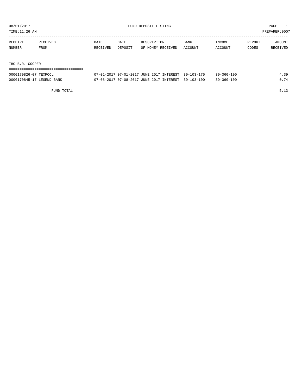TIME:11:26 AM PREPARER:0007

| RECEIPT                                                                                                         | RECEIVED | DATE     | DATE    | DESCRIPTION       | <b>BANK</b> | INCOME  | REPORT | AMOUNT   |
|-----------------------------------------------------------------------------------------------------------------|----------|----------|---------|-------------------|-------------|---------|--------|----------|
| NUMBER                                                                                                          | FROM     | RECEIVED | DEPOSIT | OF MONEY RECEIVED | ACCOUNT     | ACCOUNT | CODES  | RECEIVED |
|                                                                                                                 |          |          |         |                   |             |         |        |          |
|                                                                                                                 |          |          |         |                   |             |         |        |          |
| the contract of the contract of the contract of the contract of the contract of the contract of the contract of |          |          |         |                   |             |         |        |          |

IHC B.R. COOPER

| 0000170826-07 TEXPOOL     | 07-01-2017 07-01-2017 JUNE 2017 INTEREST 39-103-175 | $39 - 360 - 100$ | 4 39  |
|---------------------------|-----------------------------------------------------|------------------|-------|
| 0000170845-17 LEGEND BANK | 07-08-2017 07-08-2017 JUNE 2017 INTEREST 39-103-100 | $39 - 360 - 100$ | 0. 74 |

FUND TOTAL 5.13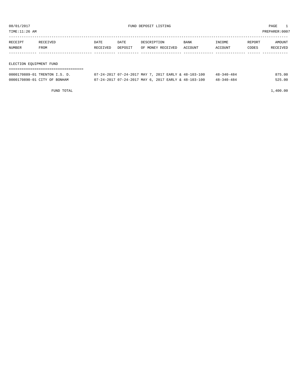TIME:11:26 AM PREPARER:0007

| RECEIPT | <b>RECEIVED</b> | DATE     | DATE    | DESCRIPTION       | BANK    | INCOME  | REPORT | AMOUNT          |
|---------|-----------------|----------|---------|-------------------|---------|---------|--------|-----------------|
| NUMBER  | FROM            | RECEIVED | DEPOSIT | OF MONEY RECEIVED | ACCOUNT | ACCOUNT | CODES  | <b>RECEIVED</b> |
|         |                 |          |         |                   |         |         |        |                 |

#### ELECTION EQUIPMENT FUND

| ---------------------------------- |                                                      |                  |        |
|------------------------------------|------------------------------------------------------|------------------|--------|
| 0000170889-01 TRENTON I.S. D.      | 07-24-2017 07-24-2017 MAY 7, 2017 EARLY & 48-103-100 | $48 - 340 - 484$ | 875.00 |
| 0000170890-01 CITY OF BONHAM       | 07-24-2017 07-24-2017 MAY 6, 2017 EARLY & 48-103-100 | $48 - 340 - 484$ | 525.00 |

FUND TOTAL 1,400.00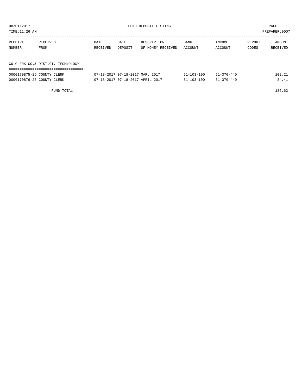| TIME:11:26 AM              |                                   |          |                                 |                   |             |                  |        | PREPARER:0007 |
|----------------------------|-----------------------------------|----------|---------------------------------|-------------------|-------------|------------------|--------|---------------|
|                            |                                   |          |                                 |                   |             |                  |        |               |
| RECEIPT                    | RECEIVED                          | DATE     | DATE                            | DESCRIPTION       | <b>BANK</b> | INCOME           | REPORT | AMOUNT        |
| NUMBER                     | FROM                              | RECEIVED | DEPOSIT                         | OF MONEY RECEIVED | ACCOUNT     | ACCOUNT          | CODES  | RECEIVED      |
|                            |                                   |          |                                 |                   |             |                  |        |               |
|                            |                                   |          |                                 |                   |             |                  |        |               |
|                            | CO.CLERK CO.& DIST.CT. TECHNOLOGY |          |                                 |                   |             |                  |        |               |
|                            |                                   |          |                                 |                   |             |                  |        |               |
| 0000170875-26 COUNTY CLERK |                                   |          | 07-18-2017 07-18-2017 MAR. 2017 |                   | 51-103-100  | $51 - 370 - 440$ |        | 102.21        |

| OUVULIVUIJ AV COONII CHHAA | VI LU 2011 VI LU 2011 MIN. 2011  |                  |                  | ------ |
|----------------------------|----------------------------------|------------------|------------------|--------|
| 0000170876-25 COUNTY CLERK | 07-18-2017 07-18-2017 APRIL 2017 | $51 - 103 - 100$ | $51 - 370 - 440$ | 84.41  |
| FUND TOTAL                 |                                  |                  |                  | 186.62 |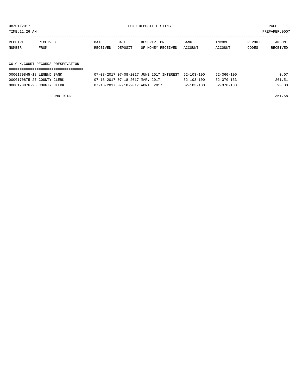08/01/2017 FUND DEPOSIT LISTING PAGE 1

| RECEIPT | RECEIVED | DATE     | DATE    | DESCRIPTION               | BANK | INCOME  | REPORT | <b>AMOUNT</b> |
|---------|----------|----------|---------|---------------------------|------|---------|--------|---------------|
| NUMBER  | FROM     | RECEIVED | DEPOSIT | OF MONEY RECEIVED ACCOUNT |      | ACCOUNT | CODES  | RECEIVED      |
|         |          |          |         |                           |      |         |        |               |
|         |          |          |         |                           |      |         |        |               |

## CO.CLK.COURT RECORDS PRESERVATION ===================================

| 0000170845-18 LEGEND BANK  | 07-08-2017 07-08-2017 JUNE 2017 INTEREST 52-103-100 |                  | $52 - 360 - 100$ | 0.07   |
|----------------------------|-----------------------------------------------------|------------------|------------------|--------|
| 0000170875-27 COUNTY CLERK | 07-18-2017 07-18-2017 MAR. 2017                     | $52 - 103 - 100$ | $52 - 370 - 133$ | 261.51 |
| 0000170876-26 COUNTY CLERK | 07-18-2017 07-18-2017 APRIL 2017                    | $52 - 103 - 100$ | 52-370-133       | 90.00  |

FUND TOTAL 351.58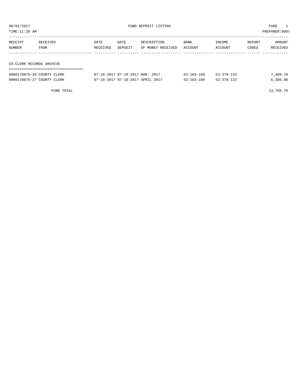| TIME:11:26 AM              |                          |          |                                 |                   |                  |                  |        | PREPARER: 0007 |  |
|----------------------------|--------------------------|----------|---------------------------------|-------------------|------------------|------------------|--------|----------------|--|
| RECEIPT                    | RECEIVED                 | DATE     | DATE                            | DESCRIPTION       | BANK             | INCOME           | REPORT | AMOUNT         |  |
| NUMBER                     | FROM                     | RECEIVED | DEPOSIT                         | OF MONEY RECEIVED | ACCOUNT          | ACCOUNT          | CODES  | RECEIVED       |  |
|                            |                          |          |                                 |                   |                  |                  |        |                |  |
|                            |                          |          |                                 |                   |                  |                  |        |                |  |
|                            | CO.CLERK RECORDS ARCHIVE |          |                                 |                   |                  |                  |        |                |  |
|                            |                          |          |                                 |                   |                  |                  |        |                |  |
| 0000170875-28 COUNTY CLERK |                          |          | 07-18-2017 07-18-2017 MAR. 2017 |                   | $53 - 103 - 100$ | $53 - 370 - 133$ |        | 7,409.78       |  |

0000170876-27 COUNTY CLERK 07-18-2017 07-18-2017 APRIL 2017 53-103-100 53-370-133 6,380.00

FUND TOTAL 13,789.78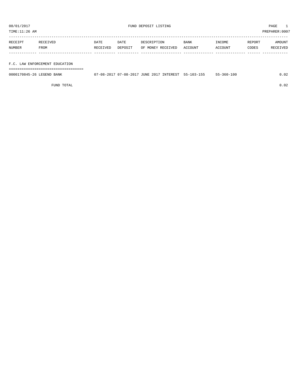TIME:11:26 AM PREPARER:0007

| RECEIPT | RECEIVED | DATE     | DATE    | DESCRIPTION       | <b>BANK</b> | INCOME  | REPORT       | AMOUNT   |
|---------|----------|----------|---------|-------------------|-------------|---------|--------------|----------|
| NUMBER  | FROM     | RECEIVED | DEPOSIT | OF MONEY RECEIVED | ACCOUNT     | ACCOUNT | <b>CODES</b> | RECEIVED |
|         |          |          |         |                   |             |         |              |          |

## F.C. LAW ENFORCEMENT EDUCATION

===================================

| 0000170845-26 LEGEND BANK | 07-08-2017 07-08-2017 JUNE 2017 INTEREST |  | $55 - 103 - 155$ | $-360 - 100$ |  |
|---------------------------|------------------------------------------|--|------------------|--------------|--|
|                           |                                          |  |                  |              |  |

FUND TOTAL 0.02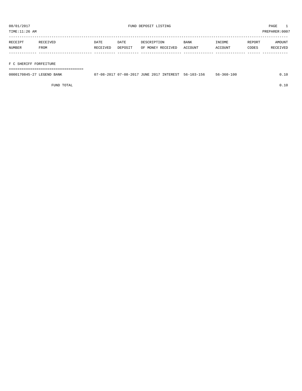TIME:11:26 AM PREPARER:0007

| RECEIPT | RECEIVED | DATE     | DATE    | DESCRIPTION       | <b>BANK</b> | <b>NCOME</b>  | REPORT | AMOUNT          |
|---------|----------|----------|---------|-------------------|-------------|---------------|--------|-----------------|
| NUMBER  | FROM     | RECEIVED | DEPOSIT | OF MONEY RECEIVED | ACCOUNT     | <b>CCOUNT</b> | CODES  | <b>RECEIVED</b> |
|         |          |          |         |                   |             |               |        |                 |

## F C SHERIFF FORFEITURE

===================================

| 0000170845-27 LEGEND BANK |  |  | 07-08-2017 07-08-2017 JUNE 2017 INTEREST 56-103-156 | $56 - 360 - 100$ | .10 |
|---------------------------|--|--|-----------------------------------------------------|------------------|-----|
|                           |  |  |                                                     |                  |     |

FUND TOTAL  $0.10$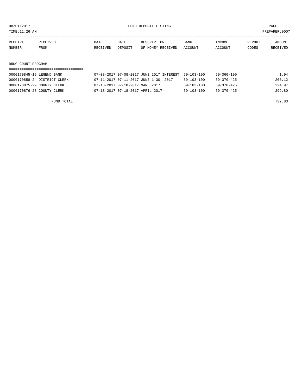TIME:11:26 AM PREPARER:0007

| RECEIPT | RECEIVED | DATE     | DATE           | DESCRIPTION       | <b>BANK</b> | <b>INCOME</b> | REPORT | AMOUNT          |
|---------|----------|----------|----------------|-------------------|-------------|---------------|--------|-----------------|
| NUMBER  | FROM     | RECEIVED | <b>DEPOSTT</b> | OF MONEY RECEIVED | ACCOUNT     | ACCOUNT       | CODES  | <b>RECEIVED</b> |
|         |          |          |                |                   |             |               |        |                 |

#### DRUG COURT PROGRAM

| 0000170845-19 LEGEND BANK    | 07-08-2017 07-08-2017 JUNE 2017 INTEREST | 59-103-100       | 59-360-100       | 1.94   |
|------------------------------|------------------------------------------|------------------|------------------|--------|
| 0000170858-24 DISTRICT CLERK | 07-11-2017 07-11-2017 JUNE 1-30, 2017    | 59-103-100       | 59-370-425       | 206.12 |
| 0000170875-29 COUNTY CLERK   | 07-18-2017 07-18-2017 MAR. 2017          | $59 - 103 - 100$ | $59 - 370 - 425$ | 224.97 |
| 0000170876-28 COUNTY CLERK   | 07-18-2017 07-18-2017 APRIL 2017         | $59 - 103 - 100$ | $59 - 370 - 425$ | 299.80 |

FUND TOTAL 732.83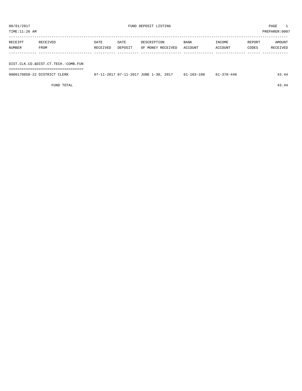TIME:11:26 AM PREPARER:0007 -----------------------------------------------------------------------------------------------------------------------------------

| RECEIPT | RECEIVED                            | DATE     | DATE    | DESCRIPTION       | <b>BANK</b> | INCOME  | REPORT | AMOUNT   |
|---------|-------------------------------------|----------|---------|-------------------|-------------|---------|--------|----------|
| NUMBER  | FROM                                | RECEIVED | DEPOSIT | OF MONEY RECEIVED | ACCOUNT     | ACCOUNT | CODES  | RECEIVED |
|         |                                     |          |         |                   |             |         |        |          |
|         | DIST.CLK.CO.&DIST.CT.TECH.-COMB.FUN |          |         |                   |             |         |        |          |

===================================

| 0000170858-22 DISTRICT CLERK | 07-11-2017 07-11-2017 JUNE 1-30, 2017 | 61-103-100 | 61-370-440 | 43.44 |
|------------------------------|---------------------------------------|------------|------------|-------|

FUND TOTAL 43.44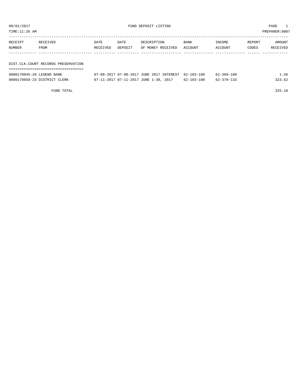TIME:11:26 AM PREPARER:0007

| RECEIPT | RECEIVED                            | DATE     | DATE    | DESCRIPTION       | <b>BANK</b> | INCOME  | REPORT | AMOUNT   |
|---------|-------------------------------------|----------|---------|-------------------|-------------|---------|--------|----------|
| NUMBER  | FROM                                | RECEIVED | DEPOSIT | OF MONEY RECEIVED | ACCOUNT     | ACCOUNT | CODES  | RECEIVED |
|         |                                     |          |         |                   |             |         |        |          |
|         |                                     |          |         |                   |             |         |        |          |
|         | DIST.CLK.COURT RECORDS PRESERVATION |          |         |                   |             |         |        |          |
|         |                                     |          |         |                   |             |         |        |          |

| ------------------------------------- |  |
|---------------------------------------|--|
| ------------------------------------  |  |
|                                       |  |
|                                       |  |

| 0000170845-20 LEGEND BANK    | 07-08-2017 07-08-2017 JUNE 2017 INTEREST 62-103-100 |                  | $62 - 360 - 100$ | 1.56   |
|------------------------------|-----------------------------------------------------|------------------|------------------|--------|
| 0000170858-23 DISTRICT CLERK | 07-11-2017 07-11-2017 JUNE 1-30, 2017               | $62 - 103 - 100$ | 62-370-133       | 323.62 |

FUND TOTAL 325.18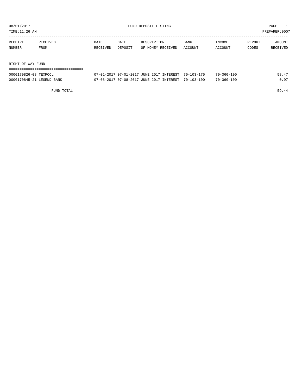| TIME:11:26 AM     |          |          |         |                   |             |         |        | PREPARER:0007 |
|-------------------|----------|----------|---------|-------------------|-------------|---------|--------|---------------|
|                   |          |          |         |                   |             |         |        |               |
| RECEIPT           | RECEIVED | DATE     | DATE    | DESCRIPTION       | <b>BANK</b> | INCOME  | REPORT | AMOUNT        |
| NUMBER            | FROM     | RECEIVED | DEPOSIT | OF MONEY RECEIVED | ACCOUNT     | ACCOUNT | CODES  | RECEIVED      |
|                   |          |          |         |                   |             |         |        |               |
|                   |          |          |         |                   |             |         |        |               |
| RIGHT OF WAY FUND |          |          |         |                   |             |         |        |               |
|                   |          |          |         |                   |             |         |        |               |

| 0000170826-08 TEXPOOL     | 1-2017 07-01-2017 JUNE 2017 INTEREST     | 70-103-175       | $70 - 360 - 100$ | 58.47 |
|---------------------------|------------------------------------------|------------------|------------------|-------|
| 0000170845-21 LEGEND BANK | 07-08-2017 07-08-2017 JUNE 2017 INTEREST | $70 - 103 - 100$ | $70 - 360 - 100$ | 07    |

FUND TOTAL 59.44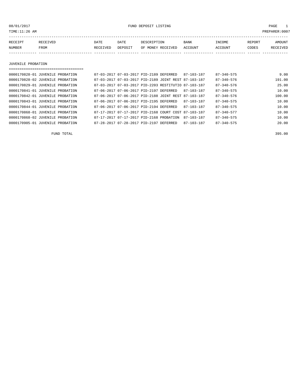08/01/2017 FUND DEPOSIT LISTING PAGE 1

| RECEIPT | <b>RECEIVED</b> | DATE     | DATE    | DESCRIPTION       | <b>BANK</b> | INCOME  | <b>REPORT</b> | AMOUNT          |
|---------|-----------------|----------|---------|-------------------|-------------|---------|---------------|-----------------|
| NUMBER  | FROM            | RECEIVED | DEPOSIT | OF MONEY RECEIVED | ACCOUNT     | ACCOUNT | CODES         | <b>RECEIVED</b> |
|         |                 |          |         |                   |             |         |               |                 |

JUVENILE PROBATION

===================================

| 0000170828-01 JUVENILE PROBATION |                                          | 07-03-2017 07-03-2017 PID-2189 DEFERRED |                                                      | 87-103-187       | $87 - 340 - 575$ | 9.00   |
|----------------------------------|------------------------------------------|-----------------------------------------|------------------------------------------------------|------------------|------------------|--------|
| 0000170828-02 JUVENILE PROBATION |                                          |                                         | 07-03-2017 07-03-2017 PID-2189 JOINT REST 87-103-187 |                  | $87 - 340 - 576$ | 191.00 |
| 0000170829-01 JUVENILE PROBATION |                                          |                                         | 07-03-2017 07-03-2017 PID-2203 RESTITUTIO 87-103-187 |                  | $87 - 340 - 576$ | 25.00  |
| 0000170841-01 JUVENILE PROBATION | 07-06-2017 07-06-2017 PID-2197 DEFERRED  |                                         |                                                      | 87-103-187       | $87 - 340 - 575$ | 10.00  |
| 0000170842-01 JUVENILE PROBATION |                                          |                                         | 07-06-2017 07-06-2017 PID-2188 JOINT REST 87-103-187 |                  | $87 - 340 - 576$ | 100.00 |
| 0000170843-01 JUVENILE PROBATION | 07-06-2017 07-06-2017 PID-2195 DEFERRED  |                                         |                                                      | 87-103-187       | $87 - 340 - 575$ | 10.00  |
| 0000170844-01 JUVENILE PROBATION | 07-06-2017 07-06-2017 PID-2194 DEFERRED  |                                         |                                                      | $87 - 103 - 187$ | $87 - 340 - 575$ | 10.00  |
| 0000170868-01 JUVENILE PROBATION |                                          |                                         | 07-17-2017 07-17-2017 PID-2168 COURT COST            | 87-103-187       | $87 - 340 - 577$ | 10.00  |
| 0000170868-02 JUVENILE PROBATION | 07-17-2017 07-17-2017 PID-2168 PROBATION |                                         |                                                      | 87-103-187       | $87 - 340 - 575$ | 10.00  |
| 0000170905-01 JUVENILE PROBATION | 07-28-2017 07-28-2017 PID-2197 DEFERRED  |                                         |                                                      | $87 - 103 - 187$ | $87 - 340 - 575$ | 20.00  |
|                                  |                                          |                                         |                                                      |                  |                  |        |

FUND TOTAL 395.00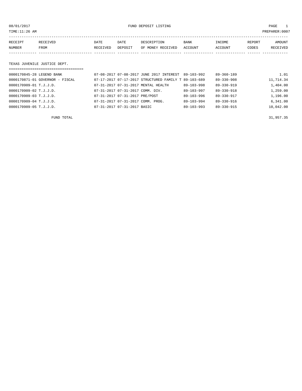08/01/2017 FUND DEPOSIT LISTING PAGE 1

| RECEIPT | <b>RECEIVED</b> | DATE            | DATE    | DESCRIPTION       | <b>BANK</b> | <b>TNCOME</b> | REPORT | AMOUNT          |
|---------|-----------------|-----------------|---------|-------------------|-------------|---------------|--------|-----------------|
| NUMBER  | FROM            | <b>RECEIVED</b> | DEPOSIT | OF MONEY RECEIVED | ACCOUNT     | ACCOUNT       | CODES  | <b>RECEIVED</b> |
|         |                 |                 |         |                   |             |               |        |                 |

### TEXAS JUVENILE JUSTICE DEPT.

| ================================== |                                                      |                  |                  |           |
|------------------------------------|------------------------------------------------------|------------------|------------------|-----------|
| 0000170845-28 LEGEND BANK          | 07-08-2017 07-08-2017 JUNE 2017 INTEREST             | 89-103-992       | $89 - 360 - 189$ | 1.01      |
| 0000170871-01 GOVERNOR - FISCAL    | 07-17-2017 07-17-2017 STRUCTURED FAMILY T 89-103-689 |                  | $89 - 330 - 908$ | 11,714.34 |
| 0000170909-01 T.J.J.D.             | 07-31-2017 07-31-2017 MENTAL HEALTH                  | 89-103-998       | 89-330-919       | 1,404.00  |
| 0000170909-02 T.J.J.D.             | 07-31-2017 07-31-2017 COMM. DIV.                     | $89 - 103 - 997$ | $89 - 330 - 918$ | 1,259.00  |
| $0.000170909 - 0.3$ T.J.J.D.       | 07-31-2017 07-31-2017 PRE/POST                       | $89 - 103 - 996$ | $89 - 330 - 917$ | 1,196.00  |
| 0000170909-04 T.J.J.D.             | 07-31-2017 07-31-2017 COMM. PROG.                    | $89 - 103 - 994$ | 89-330-916       | 6,341.00  |
| 0000170909-05 T.J.J.D.             | 07-31-2017 07-31-2017 BASIC                          | $89 - 103 - 993$ | $89 - 330 - 915$ | 10,042.00 |

FUND TOTAL 31,957.35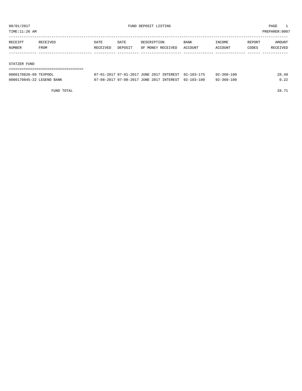TIME:11:26 AM PREPARER:0007

| RECEIPT | RECEIVED | DATE     | DATE    | DESCRIPTION       | BANK    | INCOME  | REPORT | AMOUNT   |
|---------|----------|----------|---------|-------------------|---------|---------|--------|----------|
| NUMBER  | FROM     | RECEIVED | DEPOSIT | OF MONEY RECEIVED | ACCOUNT | ACCOUNT | CODES  | RECEIVED |
|         |          |          |         |                   |         |         |        |          |
|         |          |          |         |                   |         |         |        |          |

#### STATZER FUND

| 0000170826-09 TEXPOOL     | 07-01-2017 07-01-2017 JUNE 2017 INTEREST 92-103-175 | $92 - 360 - 100$ | 28.49 |
|---------------------------|-----------------------------------------------------|------------------|-------|
| 0000170845-22 LEGEND BANK | 07-08-2017 07-08-2017 JUNE 2017 INTEREST 92-103-100 | $92 - 360 - 100$ | 0.22  |

FUND TOTAL 28.71